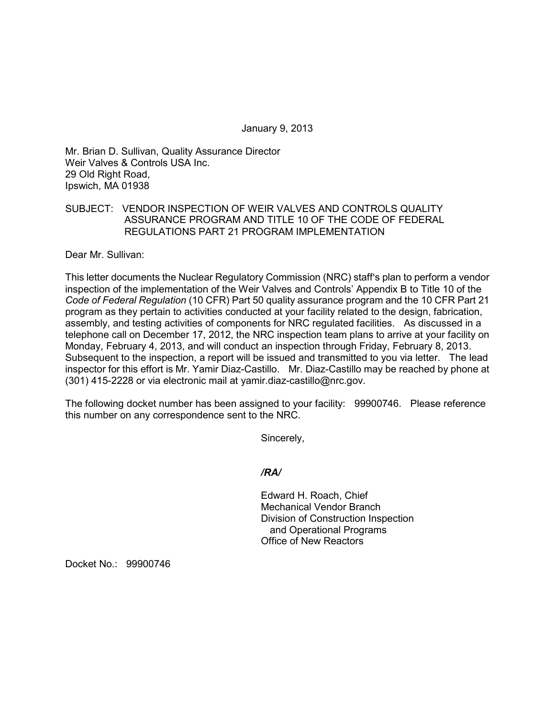January 9, 2013

Mr. Brian D. Sullivan, Quality Assurance Director Weir Valves & Controls USA Inc. 29 Old Right Road, Ipswich, MA 01938

## SUBJECT: VENDOR INSPECTION OF WEIR VALVES AND CONTROLS QUALITY ASSURANCE PROGRAM AND TITLE 10 OF THE CODE OF FEDERAL REGULATIONS PART 21 PROGRAM IMPLEMENTATION

Dear Mr. Sullivan:

This letter documents the Nuclear Regulatory Commission (NRC) staff's plan to perform a vendor inspection of the implementation of the Weir Valves and Controls' Appendix B to Title 10 of the *Code of Federal Regulation* (10 CFR) Part 50 quality assurance program and the 10 CFR Part 21 program as they pertain to activities conducted at your facility related to the design, fabrication, assembly, and testing activities of components for NRC regulated facilities. As discussed in a telephone call on December 17, 2012, the NRC inspection team plans to arrive at your facility on Monday, February 4, 2013, and will conduct an inspection through Friday, February 8, 2013. Subsequent to the inspection, a report will be issued and transmitted to you via letter. The lead inspector for this effort is Mr. Yamir Diaz-Castillo. Mr. Diaz-Castillo may be reached by phone at (301) 415-2228 or via electronic mail at yamir.diaz-castillo@nrc.gov.

The following docket number has been assigned to your facility: 99900746. Please reference this number on any correspondence sent to the NRC.

Sincerely,

## */RA/*

Edward H. Roach, Chief Mechanical Vendor Branch Division of Construction Inspection and Operational Programs Office of New Reactors

Docket No.: 99900746